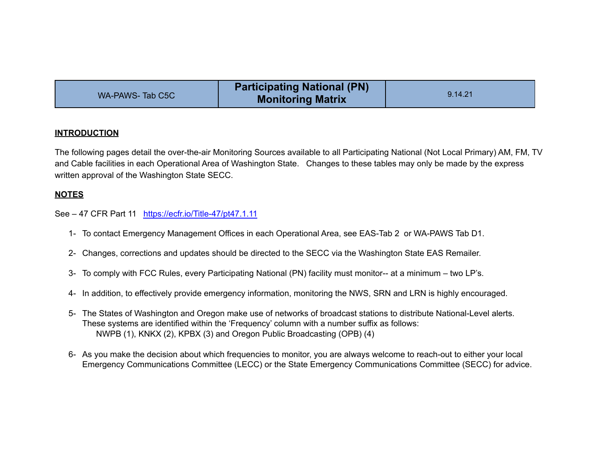|                 | <b>Participating National (PN)</b> |         |
|-----------------|------------------------------------|---------|
| WA-PAWS-Tab C5C | <b>Monitoring Matrix</b>           | 9.14.21 |

## **INTRODUCTION**

The following pages detail the over-the-air Monitoring Sources available to all Participating National (Not Local Primary) AM, FM, TV and Cable facilities in each Operational Area of Washington State. Changes to these tables may only be made by the express written approval of the Washington State SECC.

## **NOTES**

See – 47 CFR Part 11 <https://ecfr.io/Title-47/pt47.1.11>

- 1- To contact Emergency Management Offices in each Operational Area, see EAS-Tab 2 or WA-PAWS Tab D1.
- 2- Changes, corrections and updates should be directed to the SECC via the Washington State EAS Remailer.
- 3- To comply with FCC Rules, every Participating National (PN) facility must monitor-- at a minimum two LP's.
- 4- In addition, to effectively provide emergency information, monitoring the NWS, SRN and LRN is highly encouraged.
- 5- The States of Washington and Oregon make use of networks of broadcast stations to distribute National-Level alerts. These systems are identified within the 'Frequency' column with a number suffix as follows: NWPB (1), KNKX (2), KPBX (3) and Oregon Public Broadcasting (OPB) (4)
- 6- As you make the decision about which frequencies to monitor, you are always welcome to reach-out to either your local Emergency Communications Committee (LECC) or the State Emergency Communications Committee (SECC) for advice.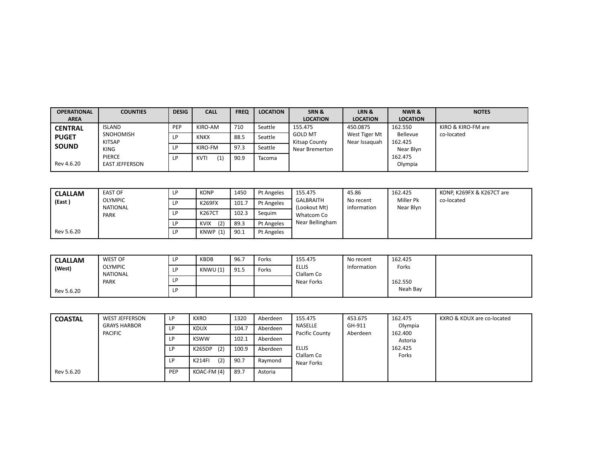| <b>OPERATIONAL</b> | <b>COUNTIES</b>                        | <b>DESIG</b> | <b>CALL</b>        | <b>FREQ</b> | <b>LOCATION</b> | SRN&                            | LRN &                          | NWR &               | <b>NOTES</b>       |
|--------------------|----------------------------------------|--------------|--------------------|-------------|-----------------|---------------------------------|--------------------------------|---------------------|--------------------|
| <b>AREA</b>        |                                        |              |                    |             |                 | <b>LOCATION</b>                 | <b>LOCATION</b>                | <b>LOCATION</b>     |                    |
| <b>CENTRAL</b>     | <b>ISLAND</b>                          | PEP          | KIRO-AM            | 710         | Seattle         | 155.475                         | 450.0875                       | 162.550             | KIRO & KIRO-FM are |
| <b>PUGET</b>       | SNOHOMISH<br><b>KITSAP</b>             | LP           | <b>KNKX</b>        | 88.5        | Seattle         | <b>GOLD MT</b><br>Kitsap County | West Tiger Mt<br>Near Issaguah | Bellevue<br>162.425 | co-located         |
| <b>SOUND</b>       | <b>KING</b>                            | LP           | KIRO-FM            | 97.3        | Seattle         | Near Bremerton                  |                                | Near Blyn           |                    |
| Rev 4.6.20         | <b>PIERCE</b><br><b>EAST JEFFERSON</b> | LP           | (1)<br><b>KVTI</b> | 90.9        | Tacoma          |                                 |                                | 162.475<br>Olympia  |                    |

| <b>CLALLAM</b> | <b>EAST OF</b>                    | LP  | <b>KONP</b>        | 1450  | Pt Angeles | 155.475                  | 45.86                    | 162.425                | KONP, K269FX & K267CT are |
|----------------|-----------------------------------|-----|--------------------|-------|------------|--------------------------|--------------------------|------------------------|---------------------------|
| (East)         | <b>OLYMPIC</b><br><b>NATIONAL</b> | LP. | <b>K269FX</b>      | 101.7 | Pt Angeles | GALBRAITH<br>Lookout Mt) | No recent<br>information | Miller Pk<br>Near Blyn | co-located                |
|                | PARK                              | LP  | <b>K267CT</b>      | 102.3 | Seauim     | Whatcom Co               |                          |                        |                           |
|                |                                   | LP. | (2)<br><b>KVIX</b> | 89.3  | Pt Angeles | Near Bellingham          |                          |                        |                           |
| Rev 5.6.20     |                                   | LP  | KNWP (1)           | 90.1  | Pt Angeles |                          |                          |                        |                           |

| <b>CLALLAM</b> | WEST OF             | <b>KBDB</b> | 96.7 | Forks | 155.475                    | No recent   | 162.425  |  |
|----------------|---------------------|-------------|------|-------|----------------------------|-------------|----------|--|
| (West)         | OLYMPIC<br>NATIONAL | KNWU (1)    | 91.5 | Forks | <b>ELLIS</b><br>Clallam Co | Information | Forks    |  |
|                | PARK                |             |      |       | Near Forks                 |             | 162.550  |  |
| Rev 5.6.20     |                     |             |      |       |                            |             | Neah Bay |  |

| <b>COASTAL</b> | <b>WEST JEFFERSON</b>                 | LP. | <b>KXRO</b>          | 1320  | Aberdeen | 155.475                    | 453.675            | 162.475            | KXRO & KDUX are co-located |
|----------------|---------------------------------------|-----|----------------------|-------|----------|----------------------------|--------------------|--------------------|----------------------------|
|                | <b>GRAYS HARBOR</b><br><b>PACIFIC</b> | LP. | <b>KDUX</b>          | 104.7 | Aberdeen | NASELLE<br>Pacific County  | GH-911<br>Aberdeen | Olympia<br>162.400 |                            |
|                |                                       | LP. | <b>KSWW</b>          | 102.1 | Aberdeen |                            |                    | Astoria            |                            |
|                |                                       | LP. | (2)<br>K265DP        | 100.9 | Aberdeen | <b>ELLIS</b><br>Clallam Co |                    | 162.425            |                            |
|                |                                       | LP. | (2)<br><b>K214FI</b> | 90.7  | Raymond  | Near Forks                 |                    | Forks              |                            |
| Rev 5.6.20     |                                       | PEP | KOAC-FM (4)          | 89.7  | Astoria  |                            |                    |                    |                            |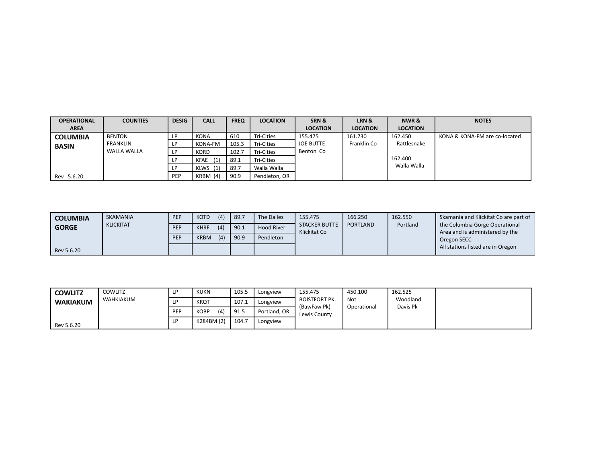| <b>OPERATIONAL</b> | <b>COUNTIES</b>    | <b>DESIG</b> | <b>CALL</b> | <b>FREQ</b> | <b>LOCATION</b> | SRN &            | LRN &           | NWR&            | <b>NOTES</b>                  |
|--------------------|--------------------|--------------|-------------|-------------|-----------------|------------------|-----------------|-----------------|-------------------------------|
| <b>AREA</b>        |                    |              |             |             |                 | <b>LOCATION</b>  | <b>LOCATION</b> | <b>LOCATION</b> |                               |
| <b>COLUMBIA</b>    | <b>BENTON</b>      | ١P           | <b>KONA</b> | 610         | Tri-Cities      | 155.475          | 161.730         | 162.450         | KONA & KONA-FM are co-located |
| <b>BASIN</b>       | <b>FRANKLIN</b>    | LP           | KONA-FM     | 105.3       | Tri-Cities      | <b>JOE BUTTE</b> | Franklin Co     | Rattlesnake     |                               |
|                    | <b>WALLA WALLA</b> | ΙD           | <b>KORD</b> | 102.7       | Tri-Cities      | Benton Co        |                 |                 |                               |
|                    |                    | LР           | (1)<br>KFAE | 89.1        | Tri-Cities      |                  |                 | 162.400         |                               |
|                    |                    |              | $KLWS$ (1)  | 89.7        | Walla Walla     |                  |                 | Walla Walla     |                               |
| Rev 5.6.20         |                    | PEP          | $KRBM$ (4)  | 90.9        | Pendleton, OR   |                  |                 |                 |                               |

| <b>COLUMBIA</b> | SKAMANIA         | PEP | <b>KOTD</b> | (4) | 89.7 | The Dalles        | 155.475                              | 166.250         | 162.550  | Skamania and Klickitat Co are part of                             |
|-----------------|------------------|-----|-------------|-----|------|-------------------|--------------------------------------|-----------------|----------|-------------------------------------------------------------------|
| <b>GORGE</b>    | <b>KLICKITAT</b> | PEP | <b>KHRF</b> | (4) | 90.1 | <b>Hood River</b> | <b>STACKER BUTTE</b><br>Klickitat Co | <b>PORTLAND</b> | Portland | the Columbia Gorge Operational<br>Area and is administered by the |
|                 |                  | PEP | <b>KRBM</b> | (4) | 90.9 | Pendleton         |                                      |                 |          | Oregon SECC                                                       |
| Rev 5.6.20      |                  |     |             |     |      |                   |                                      |                 |          | All stations listed are in Oregon                                 |

| <b>COWLITZ</b>  | COWLITZ   |     | <b>KUKN</b>        | 105.5 | Longview     | 155.475                             | 450.100            | 162.525              |  |
|-----------------|-----------|-----|--------------------|-------|--------------|-------------------------------------|--------------------|----------------------|--|
| <b>WAKIAKUM</b> | WAHKIAKUM |     | <b>KROT</b>        | 107.1 | Longview     | <b>BOISTFORT PK.</b><br>(BawFaw Pk) | Not<br>Operational | Woodland<br>Davis Pk |  |
|                 |           | PEP | (4)<br><b>KOBP</b> | 91.5  | Portland, OR | Lewis County                        |                    |                      |  |
| Rev 5.6.20      |           |     | K284BM (2)         | 104.7 | Longview     |                                     |                    |                      |  |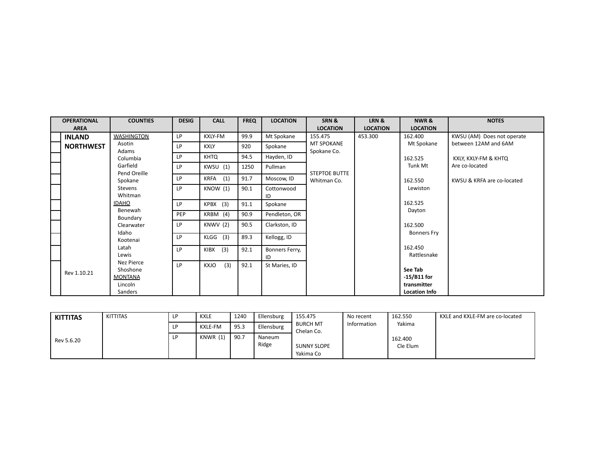| <b>OPERATIONAL</b> | <b>COUNTIES</b>                                     | <b>DESIG</b> | <b>CALL</b> | <b>FREQ</b> | <b>LOCATION</b>      | SRN&                             | LRN&            | NWR&                                    | <b>NOTES</b>               |
|--------------------|-----------------------------------------------------|--------------|-------------|-------------|----------------------|----------------------------------|-----------------|-----------------------------------------|----------------------------|
| <b>AREA</b>        |                                                     |              |             |             |                      | <b>LOCATION</b>                  | <b>LOCATION</b> | <b>LOCATION</b>                         |                            |
| <b>INLAND</b>      | <b>WASHINGTON</b>                                   | LP           | KXLY-FM     | 99.9        | Mt Spokane           | 155.475                          | 453.300         | 162.400                                 | KWSU (AM) Does not operate |
| <b>NORTHWEST</b>   | Asotin<br>Adams                                     | LP           | <b>KXLY</b> | 920         | Spokane              | <b>MT SPOKANE</b><br>Spokane Co. |                 | Mt Spokane                              | between 12AM and 6AM       |
|                    | Columbia                                            | LP           | <b>KHTQ</b> | 94.5        | Hayden, ID           |                                  |                 | 162.525                                 | KXLY, KXLY-FM & KHTQ       |
|                    | Garfield<br>Pend Oreille                            | LP           | KWSU (1)    | 1250        | Pullman              | STEPTOE BUTTE                    |                 | Tunk Mt                                 | Are co-located             |
|                    | Spokane                                             | LP           | KRFA (1)    | 91.7        | Moscow, ID           | Whitman Co.                      |                 | 162.550                                 | KWSU & KRFA are co-located |
|                    | Stevens<br>Whitman                                  | LP           | KNOW (1)    | 90.1        | Cottonwood<br>ID     |                                  |                 | Lewiston                                |                            |
|                    | <b>IDAHO</b>                                        | LP           | KPBX (3)    | 91.1        | Spokane              |                                  |                 | 162.525                                 |                            |
|                    | Benewah<br>Boundary                                 | PEP          | KRBM (4)    | 90.9        | Pendleton, OR        |                                  |                 | Dayton                                  |                            |
|                    | Clearwater                                          | LP           | KNWV (2)    | 90.5        | Clarkston, ID        |                                  |                 | 162.500                                 |                            |
|                    | Idaho<br>Kootenai                                   | LP           | $KLGG$ (3)  | 89.3        | Kellogg, ID          |                                  |                 | <b>Bonners Fry</b>                      |                            |
|                    | Latah<br>Lewis                                      | LP           | (3)<br>KIBX | 92.1        | Bonners Ferry,<br>ID |                                  |                 | 162.450<br>Rattlesnake                  |                            |
| Rev 1.10.21        | Nez Pierce<br>Shoshone<br><b>MONTANA</b><br>Lincoln | LP           | (3)<br>KXJO | 92.1        | St Maries, ID        |                                  |                 | See Tab<br>$-15/B11$ for<br>transmitter |                            |
|                    | Sanders                                             |              |             |             |                      |                                  |                 | <b>Location Info</b>                    |                            |

| <b>KITTITAS</b> | KITTITAS | KXLE            | 1240                             | Ellensburg      | 155.475                         | No recent   | 162.550             | KXLE and KXLE-FM are co-located |
|-----------------|----------|-----------------|----------------------------------|-----------------|---------------------------------|-------------|---------------------|---------------------------------|
|                 |          | KXLE-FM         | $QF$ <sub>2</sub><br><b>JJ.J</b> | Ellensburg      | <b>BURCH MT</b><br>Chelan Co.   | Information | Yakima              |                                 |
| Rev 5.6.20      |          | <b>KNWR (1)</b> | 90.7                             | Naneum<br>Ridge | <b>SUNNY SLOPE</b><br>Yakima Co |             | 162.400<br>Cle Elum |                                 |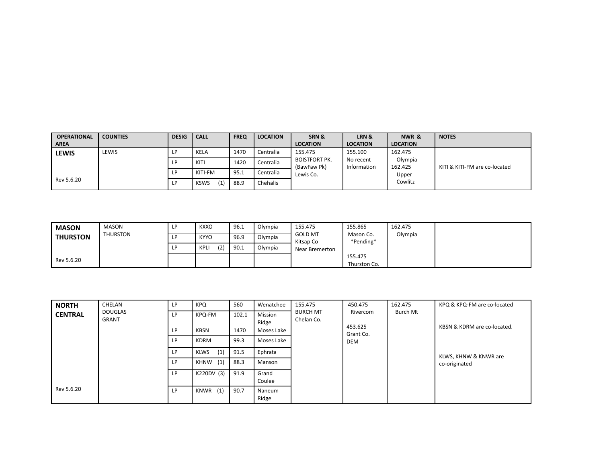| <b>OPERATIONAL</b> | <b>COUNTIES</b> | <b>DESIG</b> | <b>CALL</b>        | <b>FREQ</b> | <b>LOCATION</b> | SRN&                                | LRN &                    | NWR &              | <b>NOTES</b>                  |
|--------------------|-----------------|--------------|--------------------|-------------|-----------------|-------------------------------------|--------------------------|--------------------|-------------------------------|
| <b>AREA</b>        |                 |              |                    |             |                 | <b>LOCATION</b>                     | <b>LOCATION</b>          | <b>LOCATION</b>    |                               |
| <b>LEWIS</b>       | LEWIS           | I D          | KELA               | 1470        | Centralia       | 155.475                             | 155.100                  | 162.475            |                               |
|                    |                 |              | KITI               | 1420        | Centralia       | <b>BOISTFORT PK.</b><br>(BawFaw Pk) | No recent<br>Information | Olympia<br>162.425 | KITI & KITI-FM are co-located |
|                    |                 |              | KITI-FM            | 95.1        | Centralia       | Lewis Co.                           |                          | Upper              |                               |
| Rev 5.6.20         |                 | LР           | (1)<br><b>KSWS</b> | 88.9        | Chehalis        |                                     |                          | Cowlitz            |                               |

| <b>MASON</b>    | <b>MASON</b>    | <b>KXXO</b>        | 96.1 | Olvmpia | 155.475                     | 155.865                 | 162.475 |  |
|-----------------|-----------------|--------------------|------|---------|-----------------------------|-------------------------|---------|--|
| <b>THURSTON</b> | <b>THURSTON</b> | <b>KYYO</b>        | 96.9 | Olympia | <b>GOLD MT</b><br>Kitsap Co | Mason Co.<br>*Pending*  | Olympia |  |
|                 |                 | (2)<br><b>KPLI</b> | 90.1 | Olympia | Near Bremerton              |                         |         |  |
| Rev 5.6.20      |                 |                    |      |         |                             | 155.475<br>Thurston Co. |         |  |

| <b>NORTH</b>   | CHELAN                         | LP. | <b>KPQ</b>         | 560   | Wenatchee        | 155.475                       | 450.475                                        | 162.475  | KPQ & KPQ-FM are co-located            |
|----------------|--------------------------------|-----|--------------------|-------|------------------|-------------------------------|------------------------------------------------|----------|----------------------------------------|
| <b>CENTRAL</b> | <b>DOUGLAS</b><br><b>GRANT</b> | LP  | KPQ-FM             | 102.1 | Mission<br>Ridge | <b>BURCH MT</b><br>Chelan Co. | Rivercom<br>453.625<br>Grant Co.<br><b>DEM</b> | Burch Mt | KBSN & KDRM are co-located.            |
|                |                                | LP  | <b>KBSN</b>        | 1470  | Moses Lake       |                               |                                                |          |                                        |
|                |                                | LP  | <b>KDRM</b>        | 99.3  | Moses Lake       |                               |                                                |          |                                        |
|                |                                | LP  | (1)<br><b>KLWS</b> | 91.5  | Ephrata          |                               |                                                |          | KLWS, KHNW & KNWR are<br>co-originated |
|                |                                | LP  | KHNW (1)           | 88.3  | Manson           |                               |                                                |          |                                        |
|                |                                | LP  | K220DV (3)         | 91.9  | Grand<br>Coulee  |                               |                                                |          |                                        |
| Rev 5.6.20     |                                | LP  | (1)<br>KNWR        | 90.7  | Naneum<br>Ridge  |                               |                                                |          |                                        |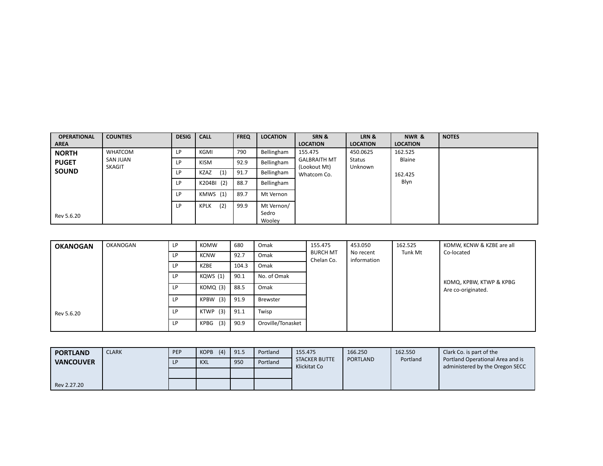| <b>OPERATIONAL</b> | <b>COUNTIES</b>           | <b>DESIG</b> | <b>CALL</b>        | <b>FREQ</b> | <b>LOCATION</b> | SRN &                       | LRN &           | NWR &           | <b>NOTES</b> |
|--------------------|---------------------------|--------------|--------------------|-------------|-----------------|-----------------------------|-----------------|-----------------|--------------|
| <b>AREA</b>        |                           |              |                    |             |                 | <b>LOCATION</b>             | <b>LOCATION</b> | <b>LOCATION</b> |              |
| <b>NORTH</b>       | <b>WHATCOM</b>            | LP           | <b>KGMI</b>        | 790         | Bellingham      | 155.475                     | 450.0625        | 162.525         |              |
| <b>PUGET</b>       | SAN JUAN<br><b>SKAGIT</b> | LP.          | <b>KISM</b>        | 92.9        | Bellingham      | <b>GALBRAITH MT</b>         | Status          | Blaine          |              |
| <b>SOUND</b>       |                           | LP           | (1)<br><b>KZAZ</b> | 91.7        | Bellingham      | (Lookout Mt)<br>Whatcom Co. | Unknown         | 162.425         |              |
|                    |                           | LP           | K204BI (2)         | 88.7        | Bellingham      |                             |                 | Blyn            |              |
|                    |                           | LP.          | KMWS (1)           | 89.7        | Mt Vernon       |                             |                 |                 |              |
|                    |                           | LP.          | (2)<br><b>KPLK</b> | 99.9        | Mt Vernon/      |                             |                 |                 |              |
| Rev 5.6.20         |                           |              |                    |             | Sedro<br>Wooley |                             |                 |                 |              |

| <b>OKANOGAN</b> | OKANOGAN | LP. | <b>KOMW</b> | 680   | Omak              | 155.475                                                   | 453.050 | 162.525            | KOMW, KCNW & KZBE are all |
|-----------------|----------|-----|-------------|-------|-------------------|-----------------------------------------------------------|---------|--------------------|---------------------------|
|                 |          | LP. | <b>KCNW</b> | 92.7  | Omak              | <b>BURCH MT</b><br>No recent<br>information<br>Chelan Co. | Tunk Mt | Co-located         |                           |
|                 |          | LP  | KZBE        | 104.3 | Omak              |                                                           |         |                    |                           |
|                 |          | LP  | KQWS (1)    | 90.1  | No. of Omak       |                                                           |         |                    | KOMQ, KPBW, KTWP & KPBG   |
|                 |          | LP  | KOMQ (3)    | 88.5  | Omak              |                                                           |         | Are co-originated. |                           |
|                 |          | LP  | KPBW (3)    | 91.9  | Brewster          |                                                           |         |                    |                           |
| Rev 5.6.20      |          | LP  | KTWP (3)    | 91.1  | Twisp             |                                                           |         |                    |                           |
|                 |          | LP  | $KPBG$ (3)  | 90.9  | Oroville/Tonasket |                                                           |         |                    |                           |

| <b>PORTLAND</b>  | <b>CLARK</b> | PEP | (4)<br><b>KOPB</b> | 91.5 | Portland | 155.475                              | 166.250         | 162.550  | Clark Co. is part of the                                            |
|------------------|--------------|-----|--------------------|------|----------|--------------------------------------|-----------------|----------|---------------------------------------------------------------------|
| <b>NANCOUVER</b> |              |     | <b>KXL</b>         | 950  | Portland | <b>STACKER BUTTE</b><br>Klickitat Co | <b>PORTLAND</b> | Portland | Portland Operational Area and is<br>administered by the Oregon SECC |
|                  |              |     |                    |      |          |                                      |                 |          |                                                                     |
| Rev 2.27.20      |              |     |                    |      |          |                                      |                 |          |                                                                     |